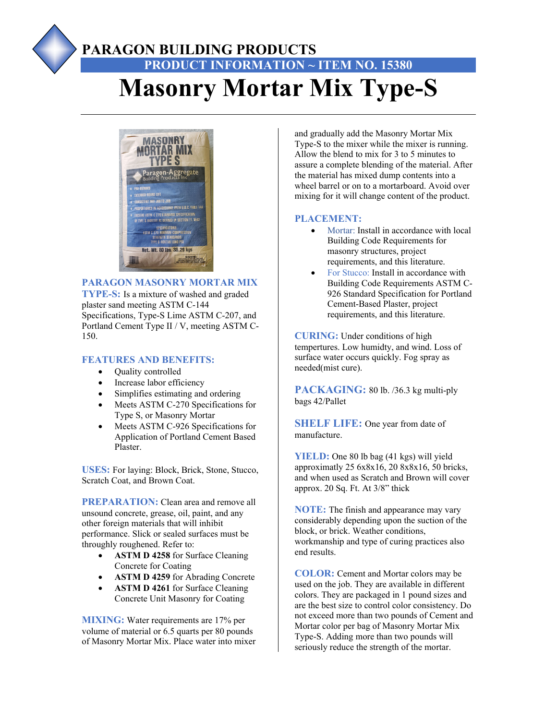# **PARAGON BUILDING PRODUCTS PRODUCT INFORMATION ~ ITEM NO. 15380 Masonry Mortar Mix Type-S**



## **PARAGON MASONRY MORTAR MIX**

**TYPE-S:** Is a mixture of washed and graded plaster sand meeting ASTM C-144 Specifications, Type-S Lime ASTM C-207, and Portland Cement Type II / V, meeting ASTM C-150.

### **FEATURES AND BENEFITS:**

- Quality controlled
- Increase labor efficiency
- Simplifies estimating and ordering
- Meets ASTM C-270 Specifications for Type S, or Masonry Mortar
- Meets ASTM C-926 Specifications for Application of Portland Cement Based Plaster.

**USES:** For laying: Block, Brick, Stone, Stucco, Scratch Coat, and Brown Coat.

**PREPARATION:** Clean area and remove all unsound concrete, grease, oil, paint, and any other foreign materials that will inhibit performance. Slick or sealed surfaces must be throughly roughened. Refer to:

- **ASTM D 4258** for Surface Cleaning Concrete for Coating
- **ASTM D 4259** for Abrading Concrete
- **ASTM D 4261** for Surface Cleaning Concrete Unit Masonry for Coating

**MIXING:** Water requirements are 17% per volume of material or 6.5 quarts per 80 pounds of Masonry Mortar Mix. Place water into mixer and gradually add the Masonry Mortar Mix Type-S to the mixer while the mixer is running. Allow the blend to mix for 3 to 5 minutes to assure a complete blending of the material. After the material has mixed dump contents into a wheel barrel or on to a mortarboard. Avoid over mixing for it will change content of the product.

#### **PLACEMENT:**

- Mortar: Install in accordance with local Building Code Requirements for masonry structures, project requirements, and this literature.
- For Stucco: Install in accordance with Building Code Requirements ASTM C-926 Standard Specification for Portland Cement-Based Plaster, project requirements, and this literature.

**CURING:** Under conditions of high tempertures. Low humidty, and wind. Loss of surface water occurs quickly. Fog spray as needed(mist cure).

**PACKAGING:** 80 lb. /36.3 kg multi-ply bags 42/Pallet

**SHELF LIFE:** One year from date of manufacture.

**YIELD:** One 80 lb bag (41 kgs) will yield approximatly 25 6x8x16, 20 8x8x16, 50 bricks, and when used as Scratch and Brown will cover approx. 20 Sq. Ft. At 3/8" thick

**NOTE:** The finish and appearance may vary considerably depending upon the suction of the block, or brick. Weather conditions, workmanship and type of curing practices also end results.

**COLOR:** Cement and Mortar colors may be used on the job. They are available in different colors. They are packaged in 1 pound sizes and are the best size to control color consistency. Do not exceed more than two pounds of Cement and Mortar color per bag of Masonry Mortar Mix Type-S. Adding more than two pounds will seriously reduce the strength of the mortar.